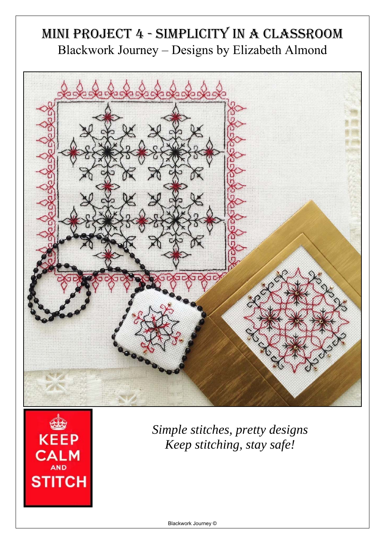## MINI PROJECT 4 - SIMPLICITY IN A CLASSROOM Blackwork Journey – Designs by Elizabeth Almond





*Simple stitches, pretty designs Keep stitching, stay safe!*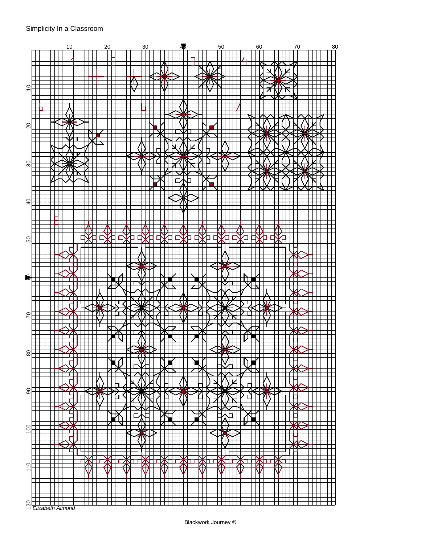